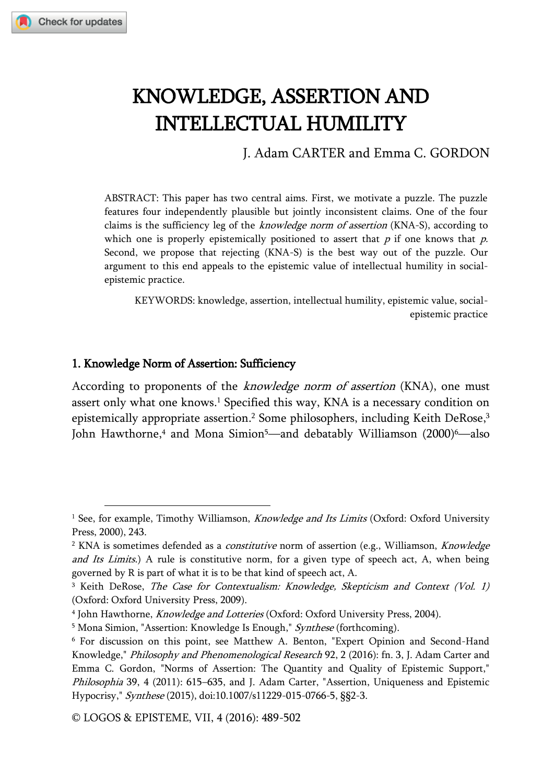# KNOWLEDGE, ASSERTION AND INTELLECTUAL HUMILITY

J. Adam CARTER and Emma C. GORDON

ABSTRACT: This paper has two central aims. First, we motivate a puzzle. The puzzle features four independently plausible but jointly inconsistent claims. One of the four claims is the sufficiency leg of the *knowledge norm of assertion* (KNA-S), according to which one is properly epistemically positioned to assert that  $p$  if one knows that  $p$ . Second, we propose that rejecting (KNA-S) is the best way out of the puzzle. Our argument to this end appeals to the epistemic value of intellectual humility in socialepistemic practice.

KEYWORDS: knowledge, assertion, intellectual humility, epistemic value, socialepistemic practice

#### 1. Knowledge Norm of Assertion: Sufficiency

j

According to proponents of the *knowledge norm of assertion* (KNA), one must assert only what one knows. <sup>1</sup> Specified this way, KNA is a necessary condition on epistemically appropriate assertion. <sup>2</sup> Some philosophers, including Keith DeRose, 3 John Hawthorne, <sup>4</sup> and Mona Simion<sup>5</sup>—and debatably Williamson (2000)<sup>6</sup>—also

<sup>&</sup>lt;sup>1</sup> See, for example, Timothy Williamson, *Knowledge and Its Limits* (Oxford: Oxford University Press, 2000), 243.

<sup>&</sup>lt;sup>2</sup> KNA is sometimes defended as a *constitutive* norm of assertion (e.g., Williamson, *Knowledge* and Its Limits.) A rule is constitutive norm, for a given type of speech act, A, when being governed by R is part of what it is to be that kind of speech act, A.

<sup>&</sup>lt;sup>3</sup> Keith DeRose, The Case for Contextualism: Knowledge, Skepticism and Context (Vol. 1) (Oxford: Oxford University Press, 2009).

<sup>&</sup>lt;sup>4</sup> John Hawthorne, *Knowledge and Lotteries* (Oxford: Oxford University Press, 2004).

<sup>&</sup>lt;sup>5</sup> Mona Simion, "Assertion: Knowledge Is Enough," Synthese (forthcoming).

<sup>6</sup> For discussion on this point, see Matthew A. Benton, "Expert Opinion and Second-Hand Knowledge," Philosophy and Phenomenological Research 92, 2 (2016): fn. 3, J. Adam Carter and Emma C. Gordon, "Norms of Assertion: The Quantity and Quality of Epistemic Support," Philosophia 39, 4 (2011): 615-635, and J. Adam Carter, "Assertion, Uniqueness and Epistemic Hypocrisy," Synthese (2015), doi:10.1007/s11229-015-0766-5, §§2-3.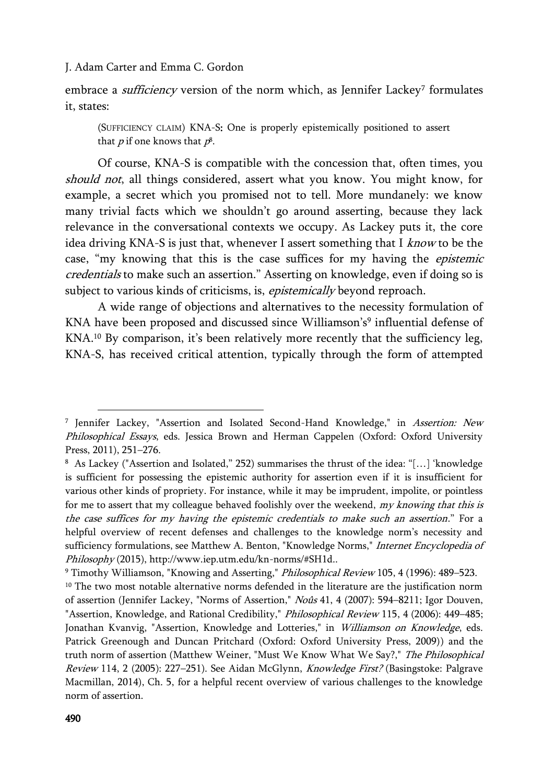embrace a *sufficiency* version of the norm which, as Jennifer Lackey<sup>7</sup> formulates it, states:

(SUFFICIENCY CLAIM) KNA-S: One is properly epistemically positioned to assert that  $p$  if one knows that  $p^{\rm g}$ .

Of course, KNA-S is compatible with the concession that, often times, you should not, all things considered, assert what you know. You might know, for example, a secret which you promised not to tell. More mundanely: we know many trivial facts which we shouldn't go around asserting, because they lack relevance in the conversational contexts we occupy. As Lackey puts it, the core idea driving KNA-S is just that, whenever I assert something that I know to be the case, "my knowing that this is the case suffices for my having the epistemic credentials to make such an assertion." Asserting on knowledge, even if doing so is subject to various kinds of criticisms, is, *epistemically* beyond reproach.

A wide range of objections and alternatives to the necessity formulation of KNA have been proposed and discussed since Williamson's<sup>9</sup> influential defense of KNA. <sup>10</sup> By comparison, it's been relatively more recently that the sufficiency leg, KNA-S, has received critical attention, typically through the form of attempted

<sup>&</sup>lt;sup>7</sup> Jennifer Lackey, "Assertion and Isolated Second-Hand Knowledge," in *Assertion: New* Philosophical Essays, eds. Jessica Brown and Herman Cappelen (Oxford: Oxford University Press, 2011), 251–276.

<sup>8</sup> As Lackey ("Assertion and Isolated," 252) summarises the thrust of the idea: "[…] 'knowledge is sufficient for possessing the epistemic authority for assertion even if it is insufficient for various other kinds of propriety. For instance, while it may be imprudent, impolite, or pointless for me to assert that my colleague behaved foolishly over the weekend, my knowing that this is the case suffices for my having the epistemic credentials to make such an assertion." For a helpful overview of recent defenses and challenges to the knowledge norm's necessity and sufficiency formulations, see Matthew A. Benton, "Knowledge Norms," Internet Encyclopedia of Philosophy (2015), http://www.iep.utm.edu/kn-norms/#SH1d..

<sup>9</sup> Timothy Williamson, "Knowing and Asserting," Philosophical Review 105, 4 (1996): 489–523.

<sup>&</sup>lt;sup>10</sup> The two most notable alternative norms defended in the literature are the justification norm of assertion (Jennifer Lackey, "Norms of Assertion," Noûs 41, 4 (2007): 594–8211; Igor Douven, "Assertion, Knowledge, and Rational Credibility," Philosophical Review 115, 4 (2006): 449–485; Jonathan Kvanvig, "Assertion, Knowledge and Lotteries," in Williamson on Knowledge, eds. Patrick Greenough and Duncan Pritchard (Oxford: Oxford University Press, 2009)) and the truth norm of assertion (Matthew Weiner, "Must We Know What We Say?," The Philosophical Review 114, 2 (2005): 227–251). See Aidan McGlynn, Knowledge First? (Basingstoke: Palgrave Macmillan, 2014), Ch. 5, for a helpful recent overview of various challenges to the knowledge norm of assertion.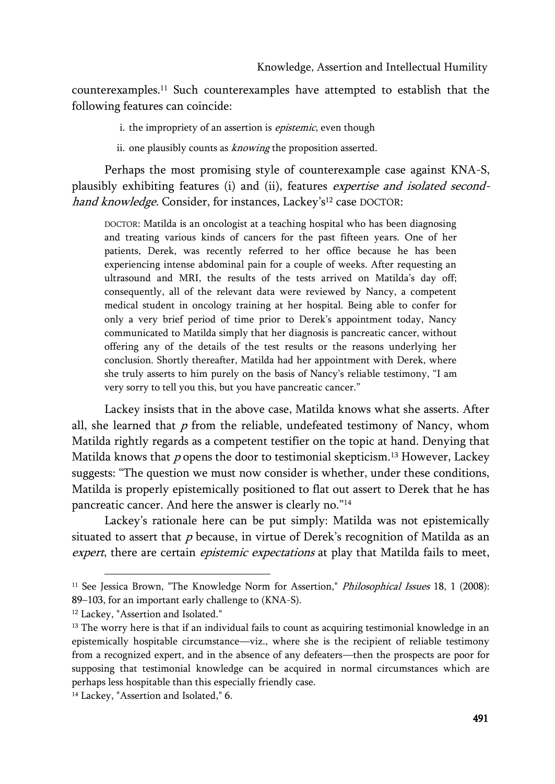counterexamples. <sup>11</sup> Such counterexamples have attempted to establish that the following features can coincide:

i. the impropriety of an assertion is *epistemic*, even though

ii. one plausibly counts as *knowing* the proposition asserted.

Perhaps the most promising style of counterexample case against KNA-S, plausibly exhibiting features (i) and (ii), features expertise and isolated secondhand knowledge. Consider, for instances, Lackey's<sup>12</sup> case DOCTOR:

DOCTOR: Matilda is an oncologist at a teaching hospital who has been diagnosing and treating various kinds of cancers for the past fifteen years. One of her patients, Derek, was recently referred to her office because he has been experiencing intense abdominal pain for a couple of weeks. After requesting an ultrasound and MRI, the results of the tests arrived on Matilda's day off; consequently, all of the relevant data were reviewed by Nancy, a competent medical student in oncology training at her hospital. Being able to confer for only a very brief period of time prior to Derek's appointment today, Nancy communicated to Matilda simply that her diagnosis is pancreatic cancer, without offering any of the details of the test results or the reasons underlying her conclusion. Shortly thereafter, Matilda had her appointment with Derek, where she truly asserts to him purely on the basis of Nancy's reliable testimony, "I am very sorry to tell you this, but you have pancreatic cancer."

Lackey insists that in the above case, Matilda knows what she asserts. After all, she learned that  $p$  from the reliable, undefeated testimony of Nancy, whom Matilda rightly regards as a competent testifier on the topic at hand. Denying that Matilda knows that p opens the door to testimonial skepticism.<sup>13</sup> However, Lackey suggests: "The question we must now consider is whether, under these conditions, Matilda is properly epistemically positioned to flat out assert to Derek that he has pancreatic cancer. And here the answer is clearly no."<sup>14</sup>

Lackey's rationale here can be put simply: Matilda was not epistemically situated to assert that  $p$  because, in virtue of Derek's recognition of Matilda as an expert, there are certain *epistemic expectations* at play that Matilda fails to meet,

<sup>&</sup>lt;sup>11</sup> See Jessica Brown, "The Knowledge Norm for Assertion," *Philosophical Issues* 18, 1 (2008): 89–103, for an important early challenge to (KNA-S).

<sup>&</sup>lt;sup>12</sup> Lackey, "Assertion and Isolated."

<sup>&</sup>lt;sup>13</sup> The worry here is that if an individual fails to count as acquiring testimonial knowledge in an epistemically hospitable circumstance—viz., where she is the recipient of reliable testimony from a recognized expert, and in the absence of any defeaters—then the prospects are poor for supposing that testimonial knowledge can be acquired in normal circumstances which are perhaps less hospitable than this especially friendly case.

<sup>&</sup>lt;sup>14</sup> Lackey, "Assertion and Isolated," 6.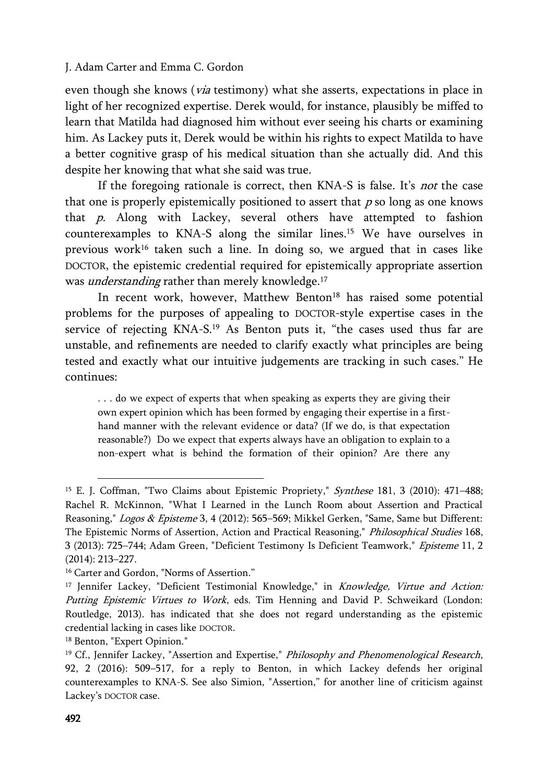even though she knows (*via* testimony) what she asserts, expectations in place in light of her recognized expertise. Derek would, for instance, plausibly be miffed to learn that Matilda had diagnosed him without ever seeing his charts or examining him. As Lackey puts it, Derek would be within his rights to expect Matilda to have a better cognitive grasp of his medical situation than she actually did. And this despite her knowing that what she said was true.

If the foregoing rationale is correct, then KNA-S is false. It's *not* the case that one is properly epistemically positioned to assert that  $p$  so long as one knows that  $p$ . Along with Lackey, several others have attempted to fashion counterexamples to KNA-S along the similar lines.<sup>15</sup> We have ourselves in previous work<sup>16</sup> taken such a line. In doing so, we argued that in cases like DOCTOR, the epistemic credential required for epistemically appropriate assertion was *understanding* rather than merely knowledge.<sup>17</sup>

In recent work, however, Matthew Benton<sup>18</sup> has raised some potential problems for the purposes of appealing to DOCTOR-style expertise cases in the service of rejecting KNA-S.<sup>19</sup> As Benton puts it, "the cases used thus far are unstable, and refinements are needed to clarify exactly what principles are being tested and exactly what our intuitive judgements are tracking in such cases." He continues:

. . . do we expect of experts that when speaking as experts they are giving their own expert opinion which has been formed by engaging their expertise in a firsthand manner with the relevant evidence or data? (If we do, is that expectation reasonable?) Do we expect that experts always have an obligation to explain to a non-expert what is behind the formation of their opinion? Are there any

<sup>&</sup>lt;sup>15</sup> E. J. Coffman, "Two Claims about Epistemic Propriety," Synthese 181, 3 (2010): 471-488; Rachel R. McKinnon, "What I Learned in the Lunch Room about Assertion and Practical Reasoning," Logos & Episteme 3, 4 (2012): 565–569; Mikkel Gerken, "Same, Same but Different: The Epistemic Norms of Assertion, Action and Practical Reasoning," Philosophical Studies 168, 3 (2013): 725–744; Adam Green, "Deficient Testimony Is Deficient Teamwork," Episteme 11, 2 (2014): 213–227.

<sup>&</sup>lt;sup>16</sup> Carter and Gordon, "Norms of Assertion."

<sup>&</sup>lt;sup>17</sup> Jennifer Lackey, "Deficient Testimonial Knowledge," in *Knowledge, Virtue and Action:* Putting Epistemic Virtues to Work, eds. Tim Henning and David P. Schweikard (London: Routledge, 2013). has indicated that she does not regard understanding as the epistemic credential lacking in cases like DOCTOR.

<sup>18</sup> Benton, "Expert Opinion."

<sup>&</sup>lt;sup>19</sup> Cf., Jennifer Lackey, "Assertion and Expertise," *Philosophy and Phenomenological Research*, 92, 2 (2016): 509–517, for a reply to Benton, in which Lackey defends her original counterexamples to KNA-S. See also Simion, "Assertion," for another line of criticism against Lackey's DOCTOR case.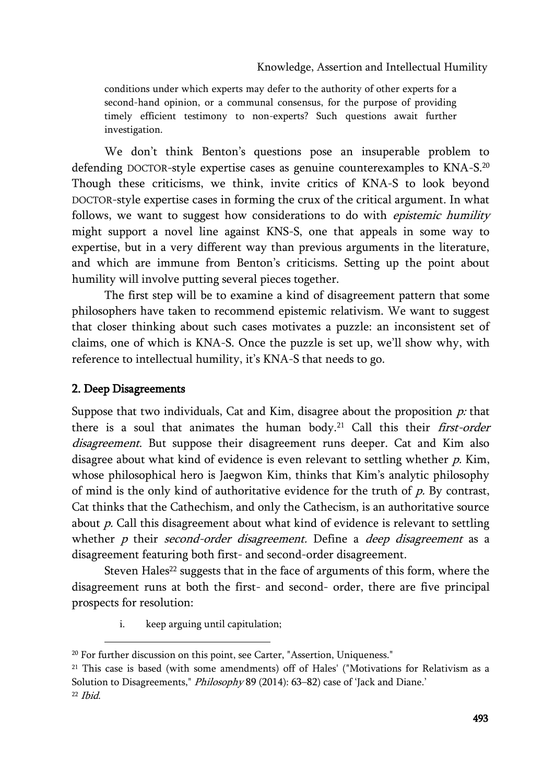conditions under which experts may defer to the authority of other experts for a second-hand opinion, or a communal consensus, for the purpose of providing timely efficient testimony to non-experts? Such questions await further investigation.

We don't think Benton's questions pose an insuperable problem to defending DOCTOR-style expertise cases as genuine counterexamples to KNA-S.<sup>20</sup> Though these criticisms, we think, invite critics of KNA-S to look beyond DOCTOR-style expertise cases in forming the crux of the critical argument. In what follows, we want to suggest how considerations to do with *epistemic humility* might support a novel line against KNS-S, one that appeals in some way to expertise, but in a very different way than previous arguments in the literature, and which are immune from Benton's criticisms. Setting up the point about humility will involve putting several pieces together.

The first step will be to examine a kind of disagreement pattern that some philosophers have taken to recommend epistemic relativism. We want to suggest that closer thinking about such cases motivates a puzzle: an inconsistent set of claims, one of which is KNA-S. Once the puzzle is set up, we'll show why, with reference to intellectual humility, it's KNA-S that needs to go.

## 2. Deep Disagreements

Suppose that two individuals, Cat and Kim, disagree about the proposition  $p$ : that there is a soul that animates the human body.<sup>21</sup> Call this their *first-order* disagreement. But suppose their disagreement runs deeper. Cat and Kim also disagree about what kind of evidence is even relevant to settling whether  $p$ . Kim, whose philosophical hero is Jaegwon Kim, thinks that Kim's analytic philosophy of mind is the only kind of authoritative evidence for the truth of  $p$ . By contrast, Cat thinks that the Cathechism, and only the Cathecism, is an authoritative source about  $p$ . Call this disagreement about what kind of evidence is relevant to settling whether  $p$  their second-order disagreement. Define a deep disagreement as a disagreement featuring both first- and second-order disagreement.

Steven Hales<sup>22</sup> suggests that in the face of arguments of this form, where the disagreement runs at both the first- and second- order, there are five principal prospects for resolution:

i. keep arguing until capitulation;

<sup>&</sup>lt;sup>20</sup> For further discussion on this point, see Carter, "Assertion, Uniqueness."

<sup>&</sup>lt;sup>21</sup> This case is based (with some amendments) off of Hales' ("Motivations for Relativism as a Solution to Disagreements," Philosophy 89 (2014): 63–82) case of 'Jack and Diane.'

<sup>22</sup> Ibid.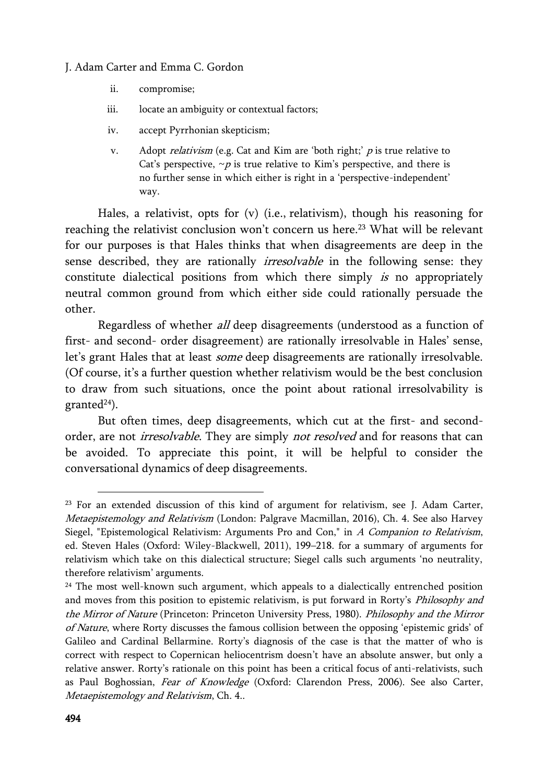- ii. compromise;
- iii. locate an ambiguity or contextual factors;
- iv. accept Pyrrhonian skepticism;
- v. Adopt relativism (e.g. Cat and Kim are 'both right;' <sup>p</sup> is true relative to Cat's perspective,  $\neg p$  is true relative to Kim's perspective, and there is no further sense in which either is right in a 'perspective-independent' way.

Hales, a relativist, opts for (v) (i.e., relativism), though his reasoning for reaching the relativist conclusion won't concern us here.<sup>23</sup> What will be relevant for our purposes is that Hales thinks that when disagreements are deep in the sense described, they are rationally *irresolvable* in the following sense: they constitute dialectical positions from which there simply is no appropriately neutral common ground from which either side could rationally persuade the other.

Regardless of whether all deep disagreements (understood as a function of first- and second- order disagreement) are rationally irresolvable in Hales' sense, let's grant Hales that at least some deep disagreements are rationally irresolvable. (Of course, it's a further question whether relativism would be the best conclusion to draw from such situations, once the point about rational irresolvability is granted $24$ ).

But often times, deep disagreements, which cut at the first- and secondorder, are not *irresolvable*. They are simply not resolved and for reasons that can be avoided. To appreciate this point, it will be helpful to consider the conversational dynamics of deep disagreements.

<sup>23</sup> For an extended discussion of this kind of argument for relativism, see J. Adam Carter, Metaepistemology and Relativism (London: Palgrave Macmillan, 2016), Ch. 4. See also Harvey Siegel, "Epistemological Relativism: Arguments Pro and Con," in A Companion to Relativism, ed. Steven Hales (Oxford: Wiley-Blackwell, 2011), 199–218. for a summary of arguments for relativism which take on this dialectical structure; Siegel calls such arguments 'no neutrality, therefore relativism' arguments.

<sup>&</sup>lt;sup>24</sup> The most well-known such argument, which appeals to a dialectically entrenched position and moves from this position to epistemic relativism, is put forward in Rorty's Philosophy and the Mirror of Nature (Princeton: Princeton University Press, 1980). Philosophy and the Mirror of Nature, where Rorty discusses the famous collision between the opposing 'epistemic grids' of Galileo and Cardinal Bellarmine. Rorty's diagnosis of the case is that the matter of who is correct with respect to Copernican heliocentrism doesn't have an absolute answer, but only a relative answer. Rorty's rationale on this point has been a critical focus of anti-relativists, such as Paul Boghossian, Fear of Knowledge (Oxford: Clarendon Press, 2006). See also Carter, Metaepistemology and Relativism, Ch. 4..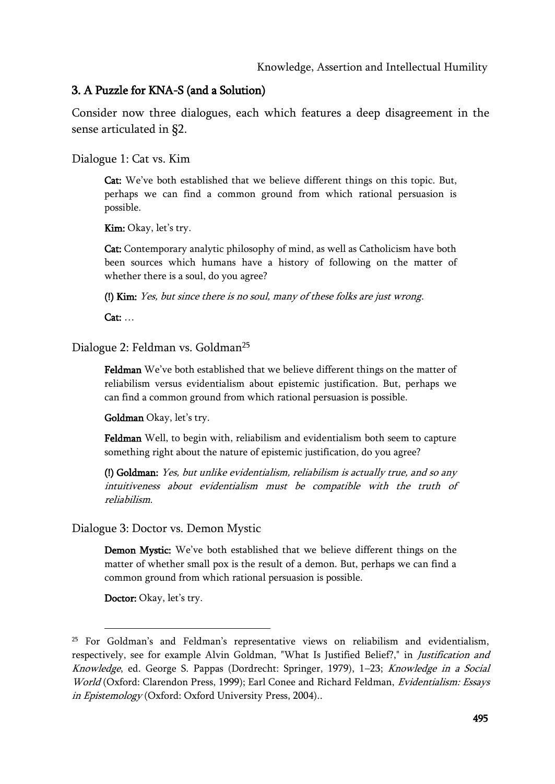#### 3. A Puzzle for KNA-S (and a Solution)

Consider now three dialogues, each which features a deep disagreement in the sense articulated in §2.

Dialogue 1: Cat vs. Kim

Cat: We've both established that we believe different things on this topic. But, perhaps we can find a common ground from which rational persuasion is possible.

Kim: Okay, let's try.

Cat: Contemporary analytic philosophy of mind, as well as Catholicism have both been sources which humans have a history of following on the matter of whether there is a soul, do you agree?

(!) Kim: Yes, but since there is no soul, many of these folks are just wrong.

Cat: …

Dialogue 2: Feldman vs. Goldman<sup>25</sup>

Feldman We've both established that we believe different things on the matter of reliabilism versus evidentialism about epistemic justification. But, perhaps we can find a common ground from which rational persuasion is possible.

Goldman Okay, let's try.

Feldman Well, to begin with, reliabilism and evidentialism both seem to capture something right about the nature of epistemic justification, do you agree?

(!) Goldman: Yes, but unlike evidentialism, reliabilism is actually true, and so any intuitiveness about evidentialism must be compatible with the truth of reliabilism.

Dialogue 3: Doctor vs. Demon Mystic

Demon Mystic: We've both established that we believe different things on the matter of whether small pox is the result of a demon. But, perhaps we can find a common ground from which rational persuasion is possible.

Doctor: Okay, let's try.

<sup>25</sup> For Goldman's and Feldman's representative views on reliabilism and evidentialism, respectively, see for example Alvin Goldman, "What Is Justified Belief?," in *Justification and* Knowledge, ed. George S. Pappas (Dordrecht: Springer, 1979), 1–23; Knowledge in a Social World (Oxford: Clarendon Press, 1999); Earl Conee and Richard Feldman, Evidentialism: Essays in Epistemology (Oxford: Oxford University Press, 2004)..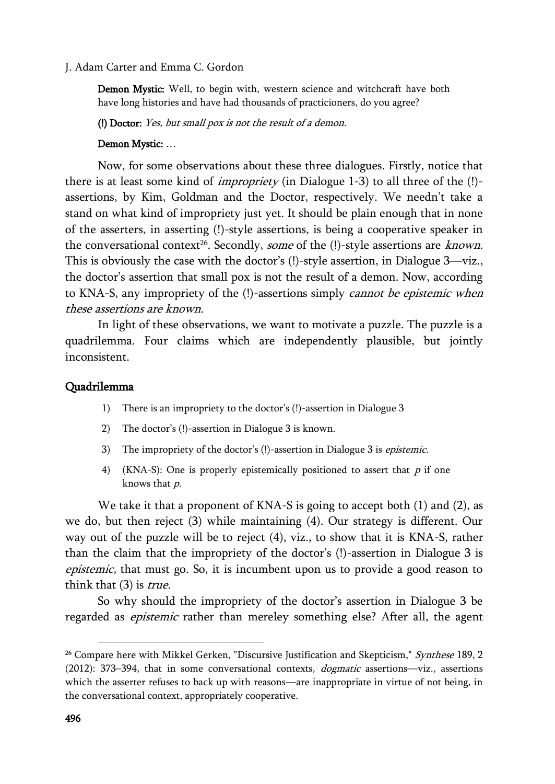Demon Mystic: Well, to begin with, western science and witchcraft have both have long histories and have had thousands of practicioners, do you agree?

(!) Doctor: Yes, but small pox is not the result of a demon.

#### Demon Mystic: …

Now, for some observations about these three dialogues. Firstly, notice that there is at least some kind of *impropriety* (in Dialogue  $1-3$ ) to all three of the  $(!)$ assertions, by Kim, Goldman and the Doctor, respectively. We needn't take a stand on what kind of impropriety just yet. It should be plain enough that in none of the asserters, in asserting (!)-style assertions, is being a cooperative speaker in the conversational context<sup>26</sup>. Secondly, *some* of the (!)-style assertions are *known*. This is obviously the case with the doctor's (!)-style assertion, in Dialogue 3—viz., the doctor's assertion that small pox is not the result of a demon. Now, according to KNA-S, any impropriety of the (!)-assertions simply *cannot be epistemic when* these assertions are known.

In light of these observations, we want to motivate a puzzle. The puzzle is a quadrilemma. Four claims which are independently plausible, but jointly inconsistent.

#### Quadrilemma

- 1) There is an impropriety to the doctor's (!)-assertion in Dialogue 3
- 2) The doctor's (!)-assertion in Dialogue 3 is known.
- 3) The impropriety of the doctor's (!)-assertion in Dialogue 3 is *epistemic*.
- 4) (KNA-S): One is properly epistemically positioned to assert that  $p$  if one knows that p.

We take it that a proponent of KNA-S is going to accept both (1) and (2), as we do, but then reject (3) while maintaining (4). Our strategy is different. Our way out of the puzzle will be to reject (4), viz., to show that it is KNA-S, rather than the claim that the impropriety of the doctor's (!)-assertion in Dialogue 3 is epistemic, that must go. So, it is incumbent upon us to provide a good reason to think that  $(3)$  is *true*.

So why should the impropriety of the doctor's assertion in Dialogue 3 be regarded as *epistemic* rather than mereley something else? After all, the agent

<sup>&</sup>lt;sup>26</sup> Compare here with Mikkel Gerken, "Discursive Justification and Skepticism," Synthese 189, 2 (2012): 373-394, that in some conversational contexts, *dogmatic* assertions—viz., assertions which the asserter refuses to back up with reasons—are inappropriate in virtue of not being, in the conversational context, appropriately cooperative.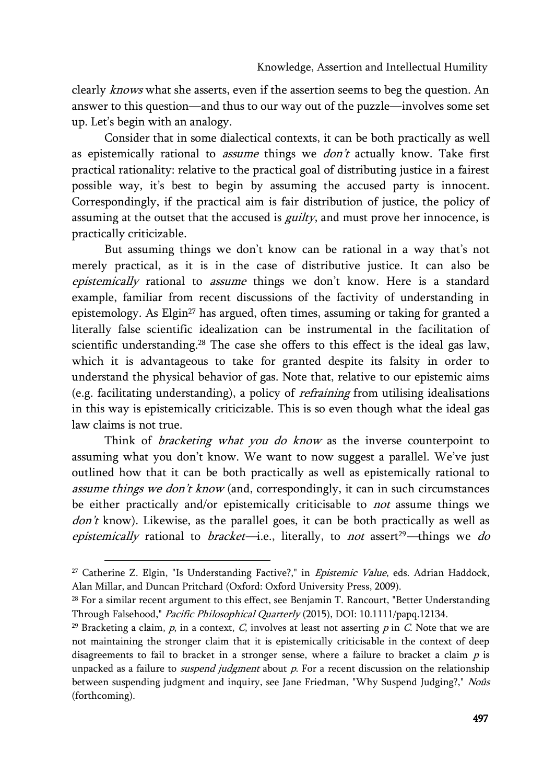clearly *knows* what she asserts, even if the assertion seems to beg the question. An answer to this question—and thus to our way out of the puzzle—involves some set up. Let's begin with an analogy.

Consider that in some dialectical contexts, it can be both practically as well as epistemically rational to *assume* things we  $don't$  actually know. Take first practical rationality: relative to the practical goal of distributing justice in a fairest possible way, it's best to begin by assuming the accused party is innocent. Correspondingly, if the practical aim is fair distribution of justice, the policy of assuming at the outset that the accused is *guilty*, and must prove her innocence, is practically criticizable.

But assuming things we don't know can be rational in a way that's not merely practical, as it is in the case of distributive justice. It can also be epistemically rational to assume things we don't know. Here is a standard example, familiar from recent discussions of the factivity of understanding in epistemology. As Elgin<sup>27</sup> has argued, often times, assuming or taking for granted a literally false scientific idealization can be instrumental in the facilitation of scientific understanding.<sup>28</sup> The case she offers to this effect is the ideal gas law, which it is advantageous to take for granted despite its falsity in order to understand the physical behavior of gas. Note that, relative to our epistemic aims (e.g. facilitating understanding), a policy of refraining from utilising idealisations in this way is epistemically criticizable. This is so even though what the ideal gas law claims is not true.

Think of *bracketing what you do know* as the inverse counterpoint to assuming what you don't know. We want to now suggest a parallel. We've just outlined how that it can be both practically as well as epistemically rational to assume things we don't know (and, correspondingly, it can in such circumstances be either practically and/or epistemically criticisable to *not* assume things we  $don't$  know). Likewise, as the parallel goes, it can be both practically as well as epistemically rational to bracket—i.e., literally, to not assert<sup>29</sup>—things we do

<sup>&</sup>lt;sup>27</sup> Catherine Z. Elgin, "Is Understanding Factive?," in *Epistemic Value*, eds. Adrian Haddock, Alan Millar, and Duncan Pritchard (Oxford: Oxford University Press, 2009).

<sup>&</sup>lt;sup>28</sup> For a similar recent argument to this effect, see Benjamin T. Rancourt, "Better Understanding Through Falsehood," Pacific Philosophical Quarterly (2015), DOI: 10.1111/papq.12134.

<sup>&</sup>lt;sup>29</sup> Bracketing a claim,  $p$ , in a context,  $C$ , involves at least not asserting  $p$  in  $C$ . Note that we are not maintaining the stronger claim that it is epistemically criticisable in the context of deep disagreements to fail to bracket in a stronger sense, where a failure to bracket a claim  $p$  is unpacked as a failure to *suspend judgment* about  $p$ . For a recent discussion on the relationship between suspending judgment and inquiry, see Jane Friedman, "Why Suspend Judging?," Noûs (forthcoming).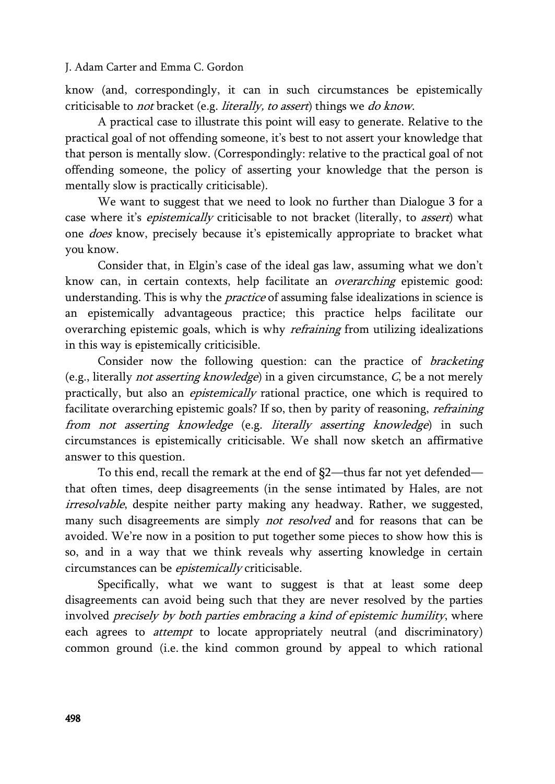know (and, correspondingly, it can in such circumstances be epistemically criticisable to not bracket (e.g. literally, to assert) things we do know.

A practical case to illustrate this point will easy to generate. Relative to the practical goal of not offending someone, it's best to not assert your knowledge that that person is mentally slow. (Correspondingly: relative to the practical goal of not offending someone, the policy of asserting your knowledge that the person is mentally slow is practically criticisable).

We want to suggest that we need to look no further than Dialogue 3 for a case where it's *epistemically* criticisable to not bracket (literally, to *assert*) what one *does* know, precisely because it's epistemically appropriate to bracket what you know.

Consider that, in Elgin's case of the ideal gas law, assuming what we don't know can, in certain contexts, help facilitate an overarching epistemic good: understanding. This is why the *practice* of assuming false idealizations in science is an epistemically advantageous practice; this practice helps facilitate our overarching epistemic goals, which is why *refraining* from utilizing idealizations in this way is epistemically criticisible.

Consider now the following question: can the practice of *bracketing* (e.g., literally *not asserting knowledge*) in a given circumstance,  $C$ , be a not merely practically, but also an *epistemically* rational practice, one which is required to facilitate overarching epistemic goals? If so, then by parity of reasoning, *refraining* from not asserting knowledge (e.g. literally asserting knowledge) in such circumstances is epistemically criticisable. We shall now sketch an affirmative answer to this question.

To this end, recall the remark at the end of §2—thus far not yet defended that often times, deep disagreements (in the sense intimated by Hales, are not irresolvable, despite neither party making any headway. Rather, we suggested, many such disagreements are simply *not resolved* and for reasons that can be avoided. We're now in a position to put together some pieces to show how this is so, and in a way that we think reveals why asserting knowledge in certain circumstances can be epistemically criticisable.

Specifically, what we want to suggest is that at least some deep disagreements can avoid being such that they are never resolved by the parties involved precisely by both parties embracing a kind of epistemic humility, where each agrees to *attempt* to locate appropriately neutral (and discriminatory) common ground (i.e. the kind common ground by appeal to which rational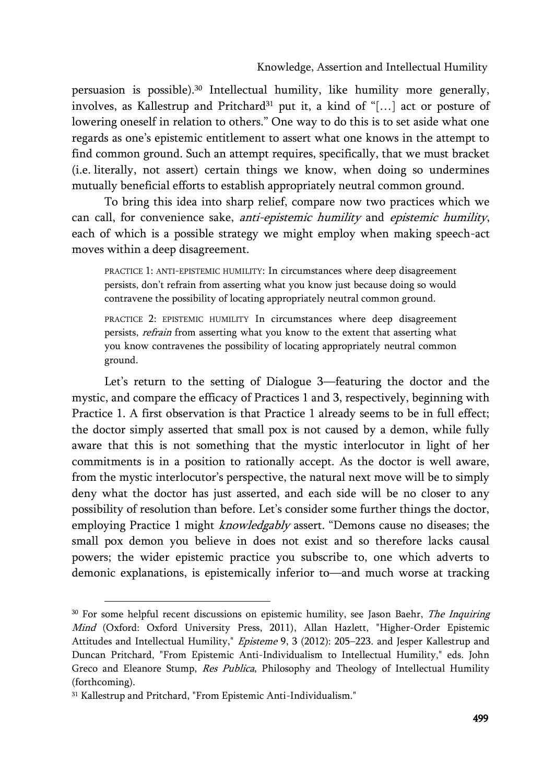persuasion is possible).<sup>30</sup> Intellectual humility, like humility more generally, involves, as Kallestrup and Pritchard<sup>31</sup> put it, a kind of "[...] act or posture of lowering oneself in relation to others." One way to do this is to set aside what one regards as one's epistemic entitlement to assert what one knows in the attempt to find common ground. Such an attempt requires, specifically, that we must bracket (i.e. literally, not assert) certain things we know, when doing so undermines mutually beneficial efforts to establish appropriately neutral common ground.

To bring this idea into sharp relief, compare now two practices which we can call, for convenience sake, anti-epistemic humility and epistemic humility, each of which is a possible strategy we might employ when making speech-act moves within a deep disagreement.

PRACTICE 1: ANTI-EPISTEMIC HUMILITY: In circumstances where deep disagreement persists, don't refrain from asserting what you know just because doing so would contravene the possibility of locating appropriately neutral common ground.

PRACTICE 2: EPISTEMIC HUMILITY In circumstances where deep disagreement persists, refrain from asserting what you know to the extent that asserting what you know contravenes the possibility of locating appropriately neutral common ground.

Let's return to the setting of Dialogue 3—featuring the doctor and the mystic, and compare the efficacy of Practices 1 and 3, respectively, beginning with Practice 1. A first observation is that Practice 1 already seems to be in full effect; the doctor simply asserted that small pox is not caused by a demon, while fully aware that this is not something that the mystic interlocutor in light of her commitments is in a position to rationally accept. As the doctor is well aware, from the mystic interlocutor's perspective, the natural next move will be to simply deny what the doctor has just asserted, and each side will be no closer to any possibility of resolution than before. Let's consider some further things the doctor, employing Practice 1 might knowledgably assert. "Demons cause no diseases; the small pox demon you believe in does not exist and so therefore lacks causal powers; the wider epistemic practice you subscribe to, one which adverts to demonic explanations, is epistemically inferior to—and much worse at tracking

<sup>&</sup>lt;sup>30</sup> For some helpful recent discussions on epistemic humility, see Jason Baehr, The Inquiring Mind (Oxford: Oxford University Press, 2011), Allan Hazlett, "Higher-Order Epistemic Attitudes and Intellectual Humility," Episteme 9, 3 (2012): 205-223. and Jesper Kallestrup and Duncan Pritchard, "From Epistemic Anti-Individualism to Intellectual Humility," eds. John Greco and Eleanore Stump, Res Publica, Philosophy and Theology of Intellectual Humility (forthcoming).

<sup>31</sup> Kallestrup and Pritchard, "From Epistemic Anti-Individualism."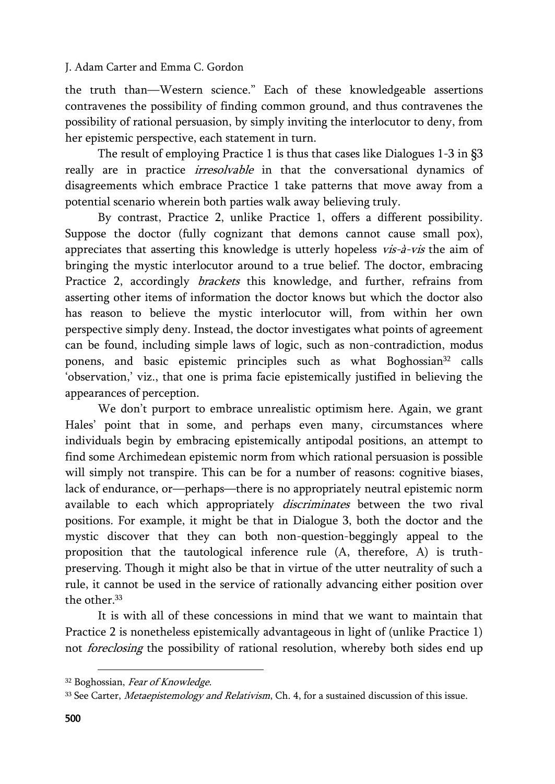the truth than—Western science." Each of these knowledgeable assertions contravenes the possibility of finding common ground, and thus contravenes the possibility of rational persuasion, by simply inviting the interlocutor to deny, from her epistemic perspective, each statement in turn.

The result of employing Practice 1 is thus that cases like Dialogues 1-3 in §3 really are in practice *irresolvable* in that the conversational dynamics of disagreements which embrace Practice 1 take patterns that move away from a potential scenario wherein both parties walk away believing truly.

By contrast, Practice 2, unlike Practice 1, offers a different possibility. Suppose the doctor (fully cognizant that demons cannot cause small pox), appreciates that asserting this knowledge is utterly hopeless *vis-à-vis* the aim of bringing the mystic interlocutor around to a true belief. The doctor, embracing Practice 2, accordingly *brackets* this knowledge, and further, refrains from asserting other items of information the doctor knows but which the doctor also has reason to believe the mystic interlocutor will, from within her own perspective simply deny. Instead, the doctor investigates what points of agreement can be found, including simple laws of logic, such as non-contradiction, modus ponens, and basic epistemic principles such as what Boghossian<sup>32</sup> calls 'observation,' viz., that one is prima facie epistemically justified in believing the appearances of perception.

We don't purport to embrace unrealistic optimism here. Again, we grant Hales' point that in some, and perhaps even many, circumstances where individuals begin by embracing epistemically antipodal positions, an attempt to find some Archimedean epistemic norm from which rational persuasion is possible will simply not transpire. This can be for a number of reasons: cognitive biases, lack of endurance, or—perhaps—there is no appropriately neutral epistemic norm available to each which appropriately *discriminates* between the two rival positions. For example, it might be that in Dialogue 3, both the doctor and the mystic discover that they can both non-question-beggingly appeal to the proposition that the tautological inference rule (A, therefore, A) is truthpreserving. Though it might also be that in virtue of the utter neutrality of such a rule, it cannot be used in the service of rationally advancing either position over the other  $33$ 

It is with all of these concessions in mind that we want to maintain that Practice 2 is nonetheless epistemically advantageous in light of (unlike Practice 1) not foreclosing the possibility of rational resolution, whereby both sides end up

<sup>32</sup> Boghossian, Fear of Knowledge.

<sup>&</sup>lt;sup>33</sup> See Carter, *Metaepistemology and Relativism*, Ch. 4, for a sustained discussion of this issue.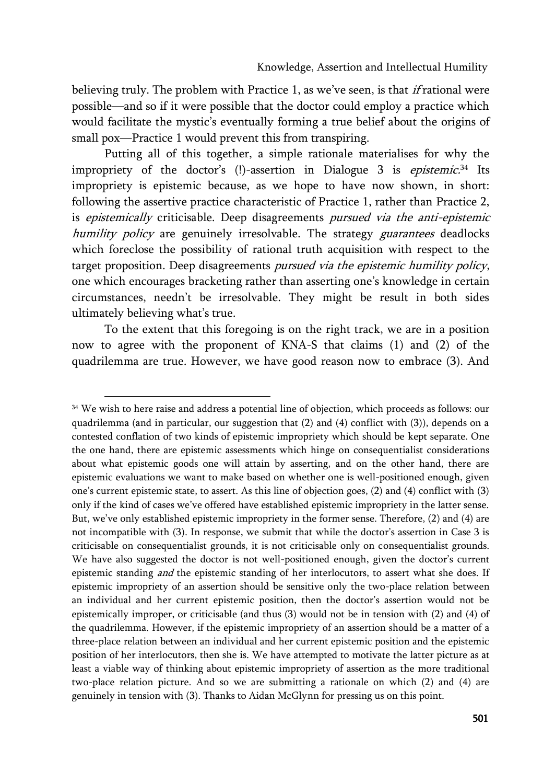believing truly. The problem with Practice 1, as we've seen, is that *if* rational were possible—and so if it were possible that the doctor could employ a practice which would facilitate the mystic's eventually forming a true belief about the origins of small pox—Practice 1 would prevent this from transpiring.

Putting all of this together, a simple rationale materialises for why the impropriety of the doctor's (!)-assertion in Dialogue 3 is *epistemic.*<sup>34</sup> Its impropriety is epistemic because, as we hope to have now shown, in short: following the assertive practice characteristic of Practice 1, rather than Practice 2, is *epistemically* criticisable. Deep disagreements *pursued via the anti-epistemic* humility policy are genuinely irresolvable. The strategy *guarantees* deadlocks which foreclose the possibility of rational truth acquisition with respect to the target proposition. Deep disagreements pursued via the epistemic humility policy, one which encourages bracketing rather than asserting one's knowledge in certain circumstances, needn't be irresolvable. They might be result in both sides ultimately believing what's true.

To the extent that this foregoing is on the right track, we are in a position now to agree with the proponent of KNA-S that claims (1) and (2) of the quadrilemma are true. However, we have good reason now to embrace (3). And

<sup>&</sup>lt;sup>34</sup> We wish to here raise and address a potential line of objection, which proceeds as follows: our quadrilemma (and in particular, our suggestion that (2) and (4) conflict with (3)), depends on a contested conflation of two kinds of epistemic impropriety which should be kept separate. One the one hand, there are epistemic assessments which hinge on consequentialist considerations about what epistemic goods one will attain by asserting, and on the other hand, there are epistemic evaluations we want to make based on whether one is well-positioned enough, given one's current epistemic state, to assert. As this line of objection goes, (2) and (4) conflict with (3) only if the kind of cases we've offered have established epistemic impropriety in the latter sense. But, we've only established epistemic impropriety in the former sense. Therefore, (2) and (4) are not incompatible with (3). In response, we submit that while the doctor's assertion in Case 3 is criticisable on consequentialist grounds, it is not criticisable only on consequentialist grounds. We have also suggested the doctor is not well-positioned enough, given the doctor's current epistemic standing *and* the epistemic standing of her interlocutors, to assert what she does. If epistemic impropriety of an assertion should be sensitive only the two-place relation between an individual and her current epistemic position, then the doctor's assertion would not be epistemically improper, or criticisable (and thus (3) would not be in tension with (2) and (4) of the quadrilemma. However, if the epistemic impropriety of an assertion should be a matter of a three-place relation between an individual and her current epistemic position and the epistemic position of her interlocutors, then she is. We have attempted to motivate the latter picture as at least a viable way of thinking about epistemic impropriety of assertion as the more traditional two-place relation picture. And so we are submitting a rationale on which (2) and (4) are genuinely in tension with (3). Thanks to Aidan McGlynn for pressing us on this point.